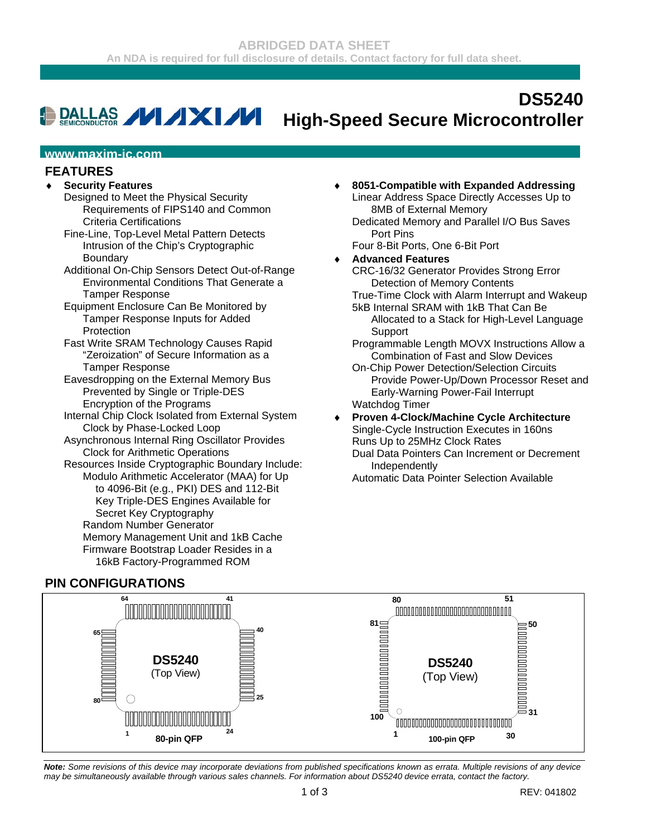#### **DS5240 DALLAS / XXI/VI High-Speed Secure Microcontroller**

#### **www.maxim-ic.com**

### **FEATURES**

### ♦ **Security Features**

- Designed to Meet the Physical Security Requirements of FIPS140 and Common Criteria Certifications
- Fine-Line, Top-Level Metal Pattern Detects Intrusion of the Chip's Cryptographic Boundary
- Additional On-Chip Sensors Detect Out-of-Range Environmental Conditions That Generate a Tamper Response
- Equipment Enclosure Can Be Monitored by Tamper Response Inputs for Added Protection
- Fast Write SRAM Technology Causes Rapid "Zeroization" of Secure Information as a Tamper Response
- Eavesdropping on the External Memory Bus Prevented by Single or Triple-DES Encryption of the Programs
- Internal Chip Clock Isolated from External System Clock by Phase-Locked Loop
- Asynchronous Internal Ring Oscillator Provides Clock for Arithmetic Operations
- Resources Inside Cryptographic Boundary Include: Modulo Arithmetic Accelerator (MAA) for Up to 4096-Bit (e.g., PKI) DES and 112-Bit Key Triple-DES Engines Available for Secret Key Cryptography Random Number Generator Memory Management Unit and 1kB Cache Firmware Bootstrap Loader Resides in a 16kB Factory-Programmed ROM

## **PIN CONFIGURATIONS**

♦ **8051-Compatible with Expanded Addressing**  Linear Address Space Directly Accesses Up to 8MB of External Memory

Dedicated Memory and Parallel I/O Bus Saves Port Pins

Four 8-Bit Ports, One 6-Bit Port

## ♦ **Advanced Features**

CRC-16/32 Generator Provides Strong Error Detection of Memory Contents

True-Time Clock with Alarm Interrupt and Wakeup 5kB Internal SRAM with 1kB That Can Be

- Allocated to a Stack for High-Level Language Support
- Programmable Length MOVX Instructions Allow a Combination of Fast and Slow Devices
- On-Chip Power Detection/Selection Circuits Provide Power-Up/Down Processor Reset and Early-Warning Power-Fail Interrupt Watchdog Timer
- ♦ **Proven 4-Clock/Machine Cycle Architecture**  Single-Cycle Instruction Executes in 160ns Runs Up to 25MHz Clock Rates
	- Dual Data Pointers Can Increment or Decrement Independently

Automatic Data Pointer Selection Available



*Note: Some revisions of this device may incorporate deviations from published specifications known as errata. Multiple revisions of any device may be simultaneously available through various sales channels. For information about DS5240 device errata, contact the factory.*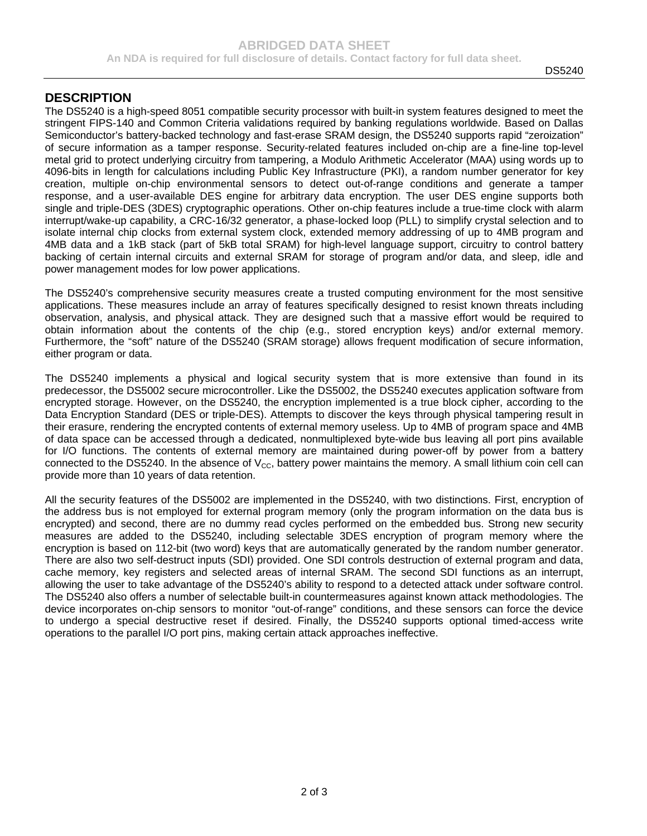### **DESCRIPTION**

The DS5240 is a high-speed 8051 compatible security processor with built-in system features designed to meet the stringent FIPS-140 and Common Criteria validations required by banking regulations worldwide. Based on Dallas Semiconductor's battery-backed technology and fast-erase SRAM design, the DS5240 supports rapid "zeroization" of secure information as a tamper response. Security-related features included on-chip are a fine-line top-level metal grid to protect underlying circuitry from tampering, a Modulo Arithmetic Accelerator (MAA) using words up to 4096-bits in length for calculations including Public Key Infrastructure (PKI), a random number generator for key creation, multiple on-chip environmental sensors to detect out-of-range conditions and generate a tamper response, and a user-available DES engine for arbitrary data encryption. The user DES engine supports both single and triple-DES (3DES) cryptographic operations. Other on-chip features include a true-time clock with alarm interrupt/wake-up capability, a CRC-16/32 generator, a phase-locked loop (PLL) to simplify crystal selection and to isolate internal chip clocks from external system clock, extended memory addressing of up to 4MB program and 4MB data and a 1kB stack (part of 5kB total SRAM) for high-level language support, circuitry to control battery backing of certain internal circuits and external SRAM for storage of program and/or data, and sleep, idle and power management modes for low power applications.

The DS5240's comprehensive security measures create a trusted computing environment for the most sensitive applications. These measures include an array of features specifically designed to resist known threats including observation, analysis, and physical attack. They are designed such that a massive effort would be required to obtain information about the contents of the chip (e.g., stored encryption keys) and/or external memory. Furthermore, the "soft" nature of the DS5240 (SRAM storage) allows frequent modification of secure information, either program or data.

The DS5240 implements a physical and logical security system that is more extensive than found in its predecessor, the DS5002 secure microcontroller. Like the DS5002, the DS5240 executes application software from encrypted storage. However, on the DS5240, the encryption implemented is a true block cipher, according to the Data Encryption Standard (DES or triple-DES). Attempts to discover the keys through physical tampering result in their erasure, rendering the encrypted contents of external memory useless. Up to 4MB of program space and 4MB of data space can be accessed through a dedicated, nonmultiplexed byte-wide bus leaving all port pins available for I/O functions. The contents of external memory are maintained during power-off by power from a battery connected to the DS5240. In the absence of  $V_{\text{CC}}$ , battery power maintains the memory. A small lithium coin cell can provide more than 10 years of data retention.

All the security features of the DS5002 are implemented in the DS5240, with two distinctions. First, encryption of the address bus is not employed for external program memory (only the program information on the data bus is encrypted) and second, there are no dummy read cycles performed on the embedded bus. Strong new security measures are added to the DS5240, including selectable 3DES encryption of program memory where the encryption is based on 112-bit (two word) keys that are automatically generated by the random number generator. There are also two self-destruct inputs (SDI) provided. One SDI controls destruction of external program and data, cache memory, key registers and selected areas of internal SRAM. The second SDI functions as an interrupt, allowing the user to take advantage of the DS5240's ability to respond to a detected attack under software control. The DS5240 also offers a number of selectable built-in countermeasures against known attack methodologies. The device incorporates on-chip sensors to monitor "out-of-range" conditions, and these sensors can force the device to undergo a special destructive reset if desired. Finally, the DS5240 supports optional timed-access write operations to the parallel I/O port pins, making certain attack approaches ineffective.